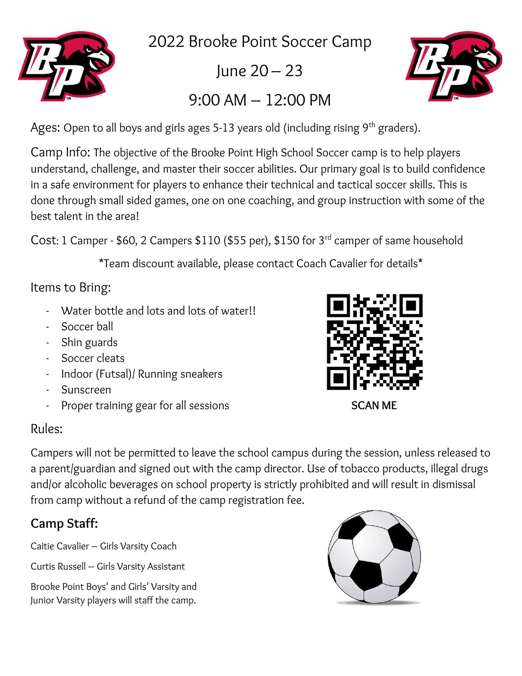

2022 Brooke Point Soccer Camp

 $lune 20 – 23$ 

# 9:00 AM – 12:00 PM



Ages: Open to all boys and girls ages 5-13 years old (including rising  $9<sup>th</sup>$  graders).

Camp Info: The objective of the Brooke Point High School Soccer camp is to help players understand, challenge, and master their soccer abilities. Our primary goal is to build confidence in a safe environment for players to enhance their technical and tactical soccer skills. This is done through small sided games, one on one coaching, and group instruction with some of the best talent in the area!

Cost: 1 Camper - \$60, 2 Campers \$110 (\$55 per), \$150 for 3rd camper of same household

\*Team discount available, please contact Coach Cavalier for details\*

### Items to Bring:

- Water bottle and lots and lots of water!!
- Soccer ball
- Shin guards
- Soccer cleats
- Indoor (Futsal)/ Running sneakers
- Sunscreen
- Proper training gear for all sessions **SCAN ME**

### Rules:

Campers will not be permitted to leave the school campus during the session, unless released to a parent/guardian and signed out with the camp director. Use of tobacco products, illegal drugs and/or alcoholic beverages on school property is strictly prohibited and will result in dismissal from camp without a refund of the camp registration fee.

## **Camp Staff:**

Caitie Cavalier – Girls Varsity Coach

Curtis Russell – Girls Varsity Assistant

Brooke Point Boys' and Girls' Varsity and Junior Varsity players will staff the camp.